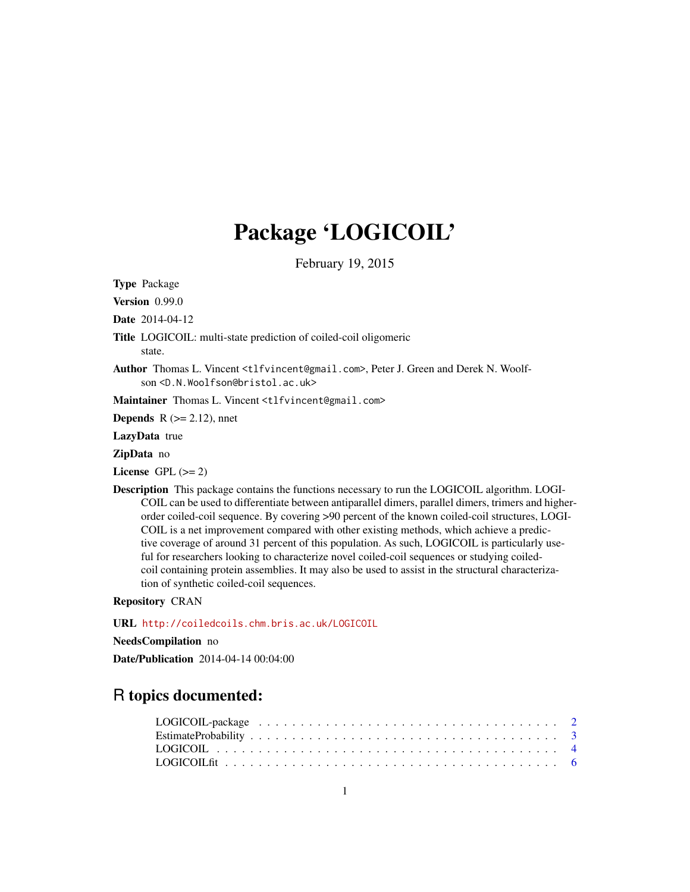## Package 'LOGICOIL'

February 19, 2015

Type Package

Version 0.99.0

Date 2014-04-12

Title LOGICOIL: multi-state prediction of coiled-coil oligomeric

state.

Author Thomas L. Vincent <tlfvincent@gmail.com>, Peter J. Green and Derek N. Woolfson <D.N.Woolfson@bristol.ac.uk>

Maintainer Thomas L. Vincent <tlfvincent@gmail.com>

**Depends** R  $(>= 2.12)$ , nnet

LazyData true

ZipData no

License GPL  $(>= 2)$ 

Description This package contains the functions necessary to run the LOGICOIL algorithm. LOGI-COIL can be used to differentiate between antiparallel dimers, parallel dimers, trimers and higherorder coiled-coil sequence. By covering >90 percent of the known coiled-coil structures, LOGI-COIL is a net improvement compared with other existing methods, which achieve a predictive coverage of around 31 percent of this population. As such, LOGICOIL is particularly useful for researchers looking to characterize novel coiled-coil sequences or studying coiledcoil containing protein assemblies. It may also be used to assist in the structural characterization of synthetic coiled-coil sequences.

#### Repository CRAN

URL <http://coiledcoils.chm.bris.ac.uk/LOGICOIL>

NeedsCompilation no

Date/Publication 2014-04-14 00:04:00

### R topics documented:

| LOGICOIL fit $\dots \dots \dots \dots \dots \dots \dots \dots \dots \dots \dots \dots \dots \dots \dots \dots$ |  |  |  |  |  |  |  |  |  |  |  |  |  |  |  |  |  |  |
|----------------------------------------------------------------------------------------------------------------|--|--|--|--|--|--|--|--|--|--|--|--|--|--|--|--|--|--|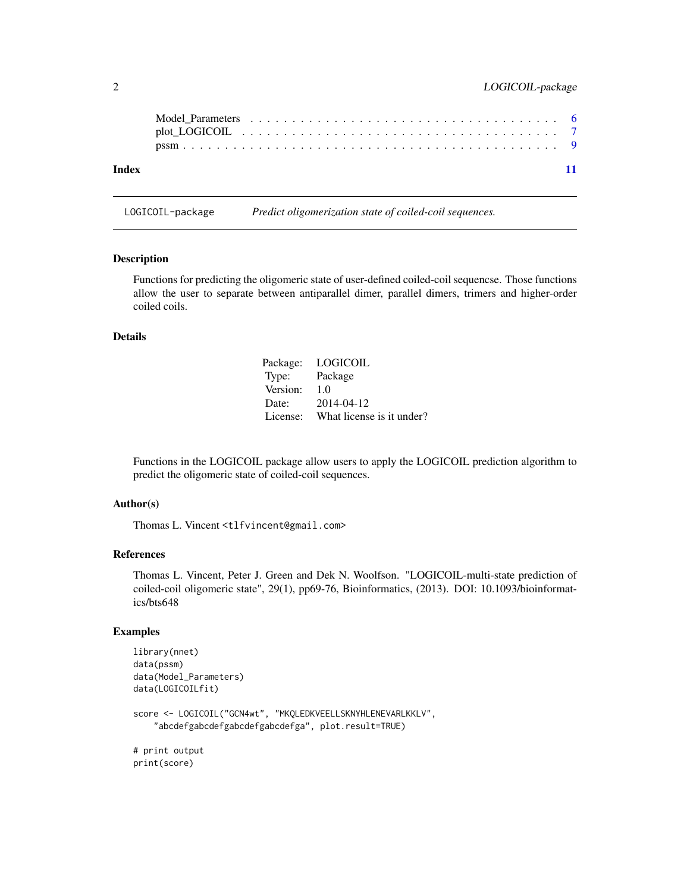<span id="page-1-0"></span>

| Index | $-11$ |
|-------|-------|

LOGICOIL-package *Predict oligomerization state of coiled-coil sequences.*

#### Description

Functions for predicting the oligomeric state of user-defined coiled-coil sequencse. Those functions allow the user to separate between antiparallel dimer, parallel dimers, trimers and higher-order coiled coils.

#### Details

|          | Package: LOGICOIL                  |
|----------|------------------------------------|
| Type:    | Package                            |
| Version: | 1.0                                |
| Date:    | 2014-04-12                         |
|          | License: What license is it under? |

Functions in the LOGICOIL package allow users to apply the LOGICOIL prediction algorithm to predict the oligomeric state of coiled-coil sequences.

#### Author(s)

Thomas L. Vincent <tlfvincent@gmail.com>

#### References

Thomas L. Vincent, Peter J. Green and Dek N. Woolfson. "LOGICOIL-multi-state prediction of coiled-coil oligomeric state", 29(1), pp69-76, Bioinformatics, (2013). DOI: 10.1093/bioinformatics/bts648

#### Examples

```
library(nnet)
data(pssm)
data(Model_Parameters)
data(LOGICOILfit)
score <- LOGICOIL("GCN4wt", "MKQLEDKVEELLSKNYHLENEVARLKKLV",
    "abcdefgabcdefgabcdefgabcdefga", plot.result=TRUE)
# print output
print(score)
```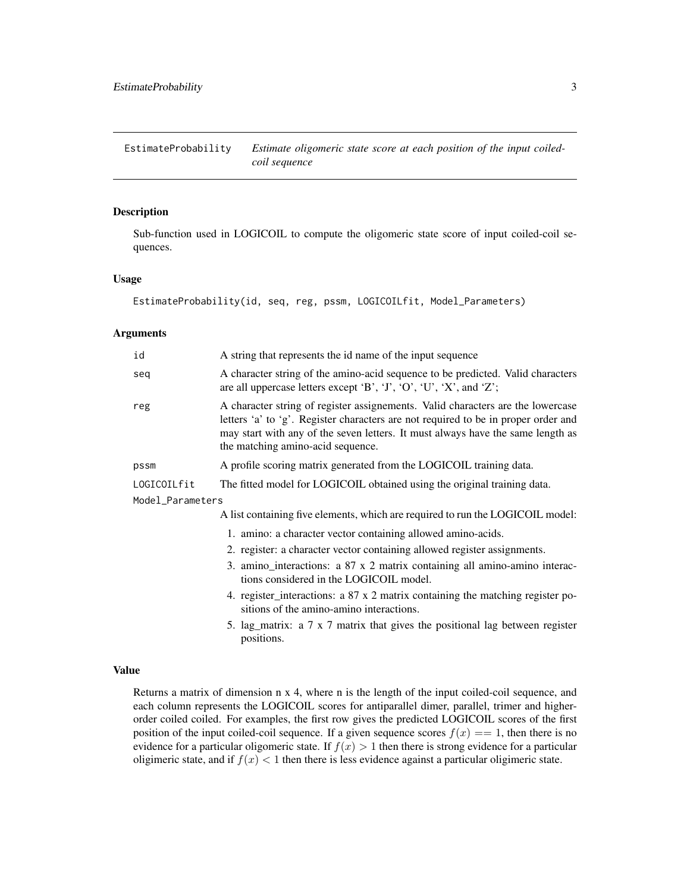<span id="page-2-0"></span>EstimateProbability *Estimate oligomeric state score at each position of the input coiledcoil sequence*

#### **Description**

Sub-function used in LOGICOIL to compute the oligomeric state score of input coiled-coil sequences.

#### Usage

EstimateProbability(id, seq, reg, pssm, LOGICOILfit, Model\_Parameters)

#### Arguments

| id               | A string that represents the id name of the input sequence                                                                                                                                                                                                                                        |
|------------------|---------------------------------------------------------------------------------------------------------------------------------------------------------------------------------------------------------------------------------------------------------------------------------------------------|
| seq              | A character string of the amino-acid sequence to be predicted. Valid characters<br>are all uppercase letters except 'B', 'J', 'O', 'U', 'X', and 'Z';                                                                                                                                             |
| reg              | A character string of register assignements. Valid characters are the lowercase<br>letters 'a' to 'g'. Register characters are not required to be in proper order and<br>may start with any of the seven letters. It must always have the same length as<br>the matching amino-acid sequence.     |
| pssm             | A profile scoring matrix generated from the LOGICOIL training data.                                                                                                                                                                                                                               |
| LOGICOILfit      | The fitted model for LOGICOIL obtained using the original training data.                                                                                                                                                                                                                          |
| Model_Parameters |                                                                                                                                                                                                                                                                                                   |
|                  | A list containing five elements, which are required to run the LOGICOIL model:                                                                                                                                                                                                                    |
|                  | 1. amino: a character vector containing allowed amino-acids.<br>$\mathbf{r}$ , and the contract of the contract of the contract of the contract of the contract of the contract of the contract of the contract of the contract of the contract of the contract of the contract of the contract o |

- 2. register: a character vector containing allowed register assignments.
- 3. amino\_interactions: a 87 x 2 matrix containing all amino-amino interactions considered in the LOGICOIL model.
- 4. register\_interactions: a 87 x 2 matrix containing the matching register positions of the amino-amino interactions.
- 5. lag\_matrix: a 7 x 7 matrix that gives the positional lag between register positions.

#### Value

Returns a matrix of dimension n x 4, where n is the length of the input coiled-coil sequence, and each column represents the LOGICOIL scores for antiparallel dimer, parallel, trimer and higherorder coiled coiled. For examples, the first row gives the predicted LOGICOIL scores of the first position of the input coiled-coil sequence. If a given sequence scores  $f(x) = 1$ , then there is no evidence for a particular oligomeric state. If  $f(x) > 1$  then there is strong evidence for a particular oligimeric state, and if  $f(x) < 1$  then there is less evidence against a particular oligimeric state.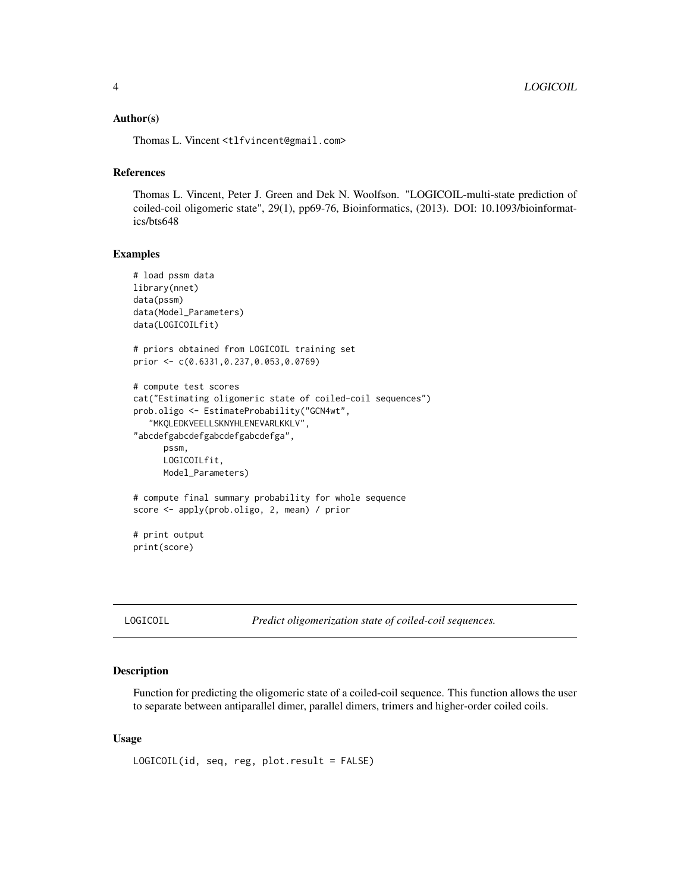#### <span id="page-3-0"></span>Author(s)

Thomas L. Vincent <tlfvincent@gmail.com>

#### References

Thomas L. Vincent, Peter J. Green and Dek N. Woolfson. "LOGICOIL-multi-state prediction of coiled-coil oligomeric state", 29(1), pp69-76, Bioinformatics, (2013). DOI: 10.1093/bioinformatics/bts648

#### Examples

```
# load pssm data
library(nnet)
data(pssm)
data(Model_Parameters)
data(LOGICOILfit)
# priors obtained from LOGICOIL training set
prior <- c(0.6331,0.237,0.053,0.0769)
# compute test scores
cat("Estimating oligomeric state of coiled-coil sequences")
prob.oligo <- EstimateProbability("GCN4wt",
   "MKQLEDKVEELLSKNYHLENEVARLKKLV",
"abcdefgabcdefgabcdefgabcdefga",
      pssm,
      LOGICOILfit,
      Model_Parameters)
# compute final summary probability for whole sequence
score <- apply(prob.oligo, 2, mean) / prior
# print output
```
print(score)

LOGICOIL *Predict oligomerization state of coiled-coil sequences.*

#### Description

Function for predicting the oligomeric state of a coiled-coil sequence. This function allows the user to separate between antiparallel dimer, parallel dimers, trimers and higher-order coiled coils.

#### Usage

```
LOGICOIL(id, seq, reg, plot.result = FALSE)
```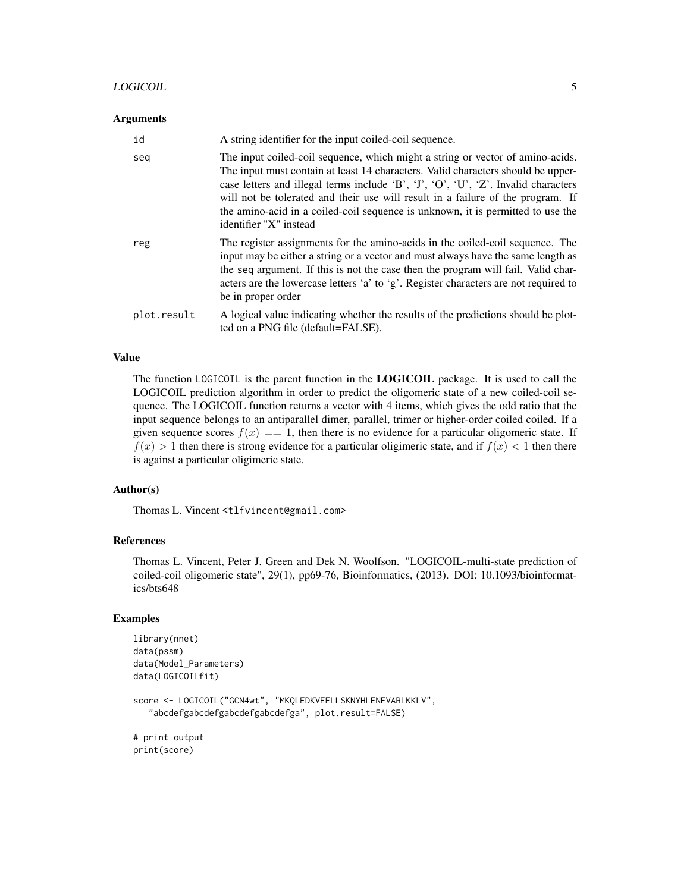#### LOGICOIL **5**

#### **Arguments**

| id          | A string identifier for the input coiled-coil sequence.                                                                                                                                                                                                                                                                                                                                                                                                  |
|-------------|----------------------------------------------------------------------------------------------------------------------------------------------------------------------------------------------------------------------------------------------------------------------------------------------------------------------------------------------------------------------------------------------------------------------------------------------------------|
| seq         | The input coiled-coil sequence, which might a string or vector of amino-acids.<br>The input must contain at least 14 characters. Valid characters should be upper-<br>case letters and illegal terms include 'B', 'J', 'O', 'U', 'Z'. Invalid characters<br>will not be tolerated and their use will result in a failure of the program. If<br>the amino-acid in a coiled-coil sequence is unknown, it is permitted to use the<br>identifier "X" instead |
| reg         | The register assignments for the amino-acids in the coiled-coil sequence. The<br>input may be either a string or a vector and must always have the same length as<br>the seq argument. If this is not the case then the program will fail. Valid char-<br>acters are the lowercase letters 'a' to 'g'. Register characters are not required to<br>be in proper order                                                                                     |
| plot.result | A logical value indicating whether the results of the predictions should be plot-<br>ted on a PNG file (default=FALSE).                                                                                                                                                                                                                                                                                                                                  |

#### Value

The function LOGICOIL is the parent function in the LOGICOIL package. It is used to call the LOGICOIL prediction algorithm in order to predict the oligomeric state of a new coiled-coil sequence. The LOGICOIL function returns a vector with 4 items, which gives the odd ratio that the input sequence belongs to an antiparallel dimer, parallel, trimer or higher-order coiled coiled. If a given sequence scores  $f(x) = 1$ , then there is no evidence for a particular oligomeric state. If  $f(x) > 1$  then there is strong evidence for a particular oligimeric state, and if  $f(x) < 1$  then there is against a particular oligimeric state.

#### Author(s)

Thomas L. Vincent <tlfvincent@gmail.com>

#### References

Thomas L. Vincent, Peter J. Green and Dek N. Woolfson. "LOGICOIL-multi-state prediction of coiled-coil oligomeric state", 29(1), pp69-76, Bioinformatics, (2013). DOI: 10.1093/bioinformatics/bts648

#### Examples

```
library(nnet)
data(pssm)
data(Model_Parameters)
data(LOGICOILfit)
score <- LOGICOIL("GCN4wt", "MKQLEDKVEELLSKNYHLENEVARLKKLV",
   "abcdefgabcdefgabcdefgabcdefga", plot.result=FALSE)
# print output
print(score)
```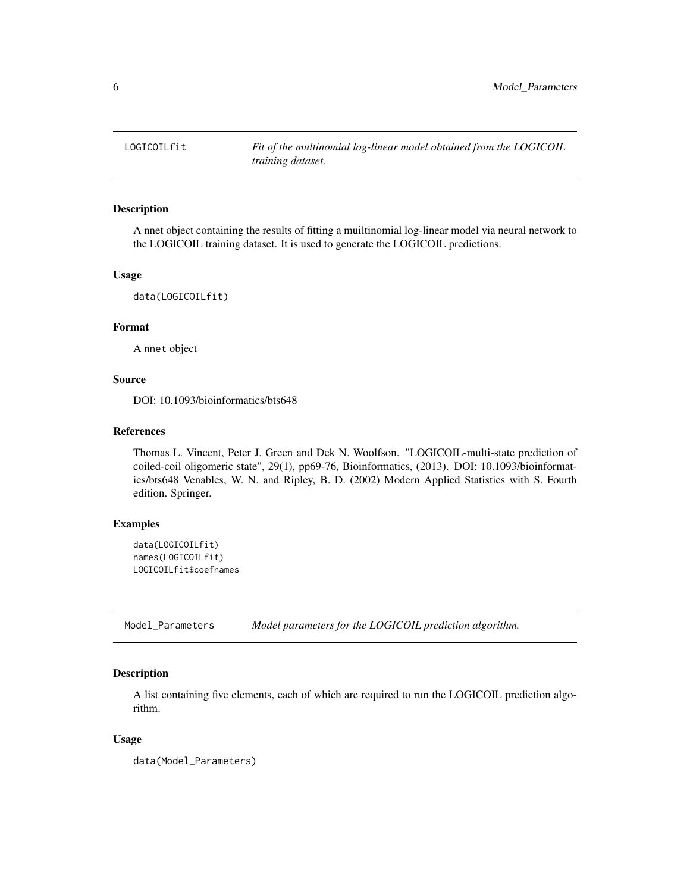<span id="page-5-0"></span>

#### Description

A nnet object containing the results of fitting a muiltinomial log-linear model via neural network to the LOGICOIL training dataset. It is used to generate the LOGICOIL predictions.

#### Usage

```
data(LOGICOILfit)
```
#### Format

A nnet object

#### Source

DOI: 10.1093/bioinformatics/bts648

#### References

Thomas L. Vincent, Peter J. Green and Dek N. Woolfson. "LOGICOIL-multi-state prediction of coiled-coil oligomeric state", 29(1), pp69-76, Bioinformatics, (2013). DOI: 10.1093/bioinformatics/bts648 Venables, W. N. and Ripley, B. D. (2002) Modern Applied Statistics with S. Fourth edition. Springer.

#### Examples

```
data(LOGICOILfit)
names(LOGICOILfit)
LOGICOILfit$coefnames
```
Model\_Parameters *Model parameters for the LOGICOIL prediction algorithm.*

#### Description

A list containing five elements, each of which are required to run the LOGICOIL prediction algorithm.

#### Usage

data(Model\_Parameters)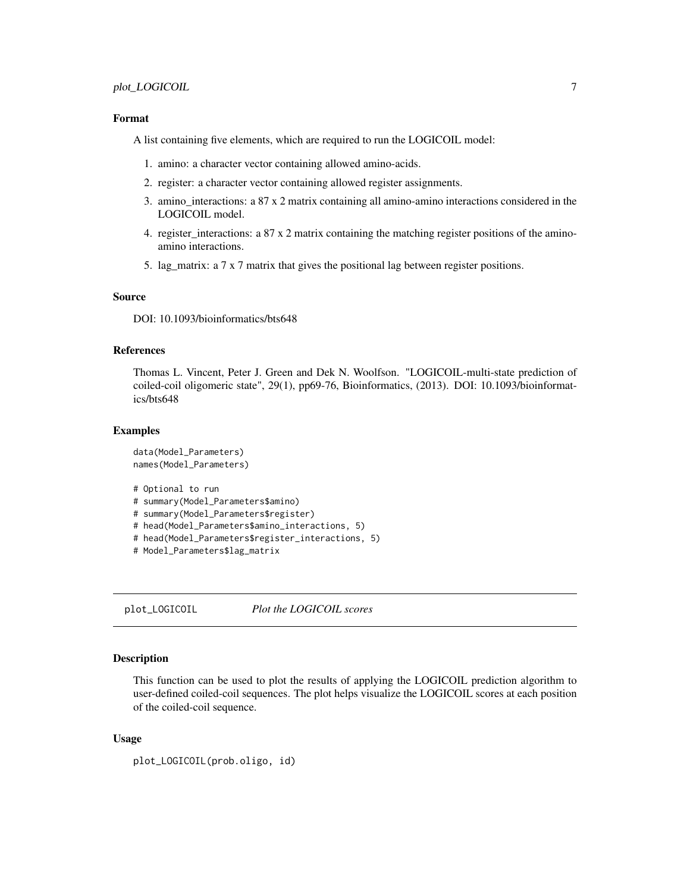#### <span id="page-6-0"></span>Format

A list containing five elements, which are required to run the LOGICOIL model:

- 1. amino: a character vector containing allowed amino-acids.
- 2. register: a character vector containing allowed register assignments.
- 3. amino\_interactions: a 87 x 2 matrix containing all amino-amino interactions considered in the LOGICOIL model.
- 4. register\_interactions: a 87 x 2 matrix containing the matching register positions of the aminoamino interactions.
- 5. lag\_matrix: a 7 x 7 matrix that gives the positional lag between register positions.

#### Source

DOI: 10.1093/bioinformatics/bts648

#### **References**

Thomas L. Vincent, Peter J. Green and Dek N. Woolfson. "LOGICOIL-multi-state prediction of coiled-coil oligomeric state", 29(1), pp69-76, Bioinformatics, (2013). DOI: 10.1093/bioinformatics/bts648

#### Examples

```
data(Model_Parameters)
names(Model_Parameters)
# Optional to run
# summary(Model_Parameters$amino)
# summary(Model_Parameters$register)
# head(Model_Parameters$amino_interactions, 5)
# head(Model_Parameters$register_interactions, 5)
# Model_Parameters$lag_matrix
```
plot\_LOGICOIL *Plot the LOGICOIL scores*

#### Description

This function can be used to plot the results of applying the LOGICOIL prediction algorithm to user-defined coiled-coil sequences. The plot helps visualize the LOGICOIL scores at each position of the coiled-coil sequence.

#### Usage

```
plot_LOGICOIL(prob.oligo, id)
```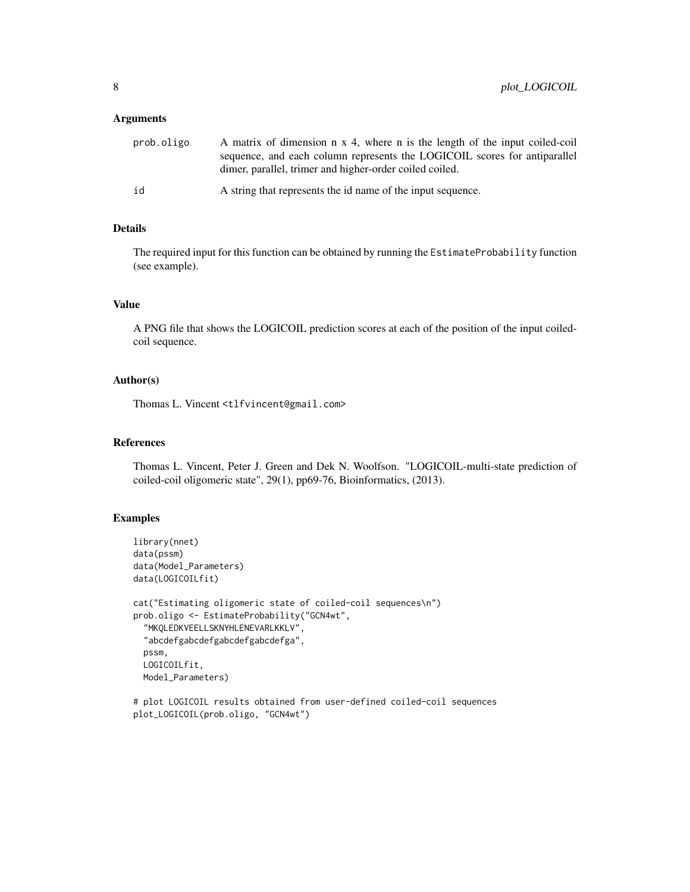#### **Arguments**

| prob.oligo | A matrix of dimension n x 4, where n is the length of the input coiled-coil |
|------------|-----------------------------------------------------------------------------|
|            | sequence, and each column represents the LOGICOIL scores for antiparallel   |
|            | dimer, parallel, trimer and higher-order coiled coiled.                     |
| id         | A string that represents the id name of the input sequence.                 |

#### Details

The required input for this function can be obtained by running the EstimateProbability function (see example).

#### Value

A PNG file that shows the LOGICOIL prediction scores at each of the position of the input coiledcoil sequence.

#### Author(s)

Thomas L. Vincent <tlfvincent@gmail.com>

#### References

Thomas L. Vincent, Peter J. Green and Dek N. Woolfson. "LOGICOIL-multi-state prediction of coiled-coil oligomeric state", 29(1), pp69-76, Bioinformatics, (2013).

#### Examples

```
library(nnet)
data(pssm)
data(Model_Parameters)
data(LOGICOILfit)
cat("Estimating oligomeric state of coiled-coil sequences\n")
prob.oligo <- EstimateProbability("GCN4wt",
  "MKQLEDKVEELLSKNYHLENEVARLKKLV",
  "abcdefgabcdefgabcdefgabcdefga",
  pssm,
  LOGICOILfit,
  Model_Parameters)
```
# plot LOGICOIL results obtained from user-defined coiled-coil sequences plot\_LOGICOIL(prob.oligo, "GCN4wt")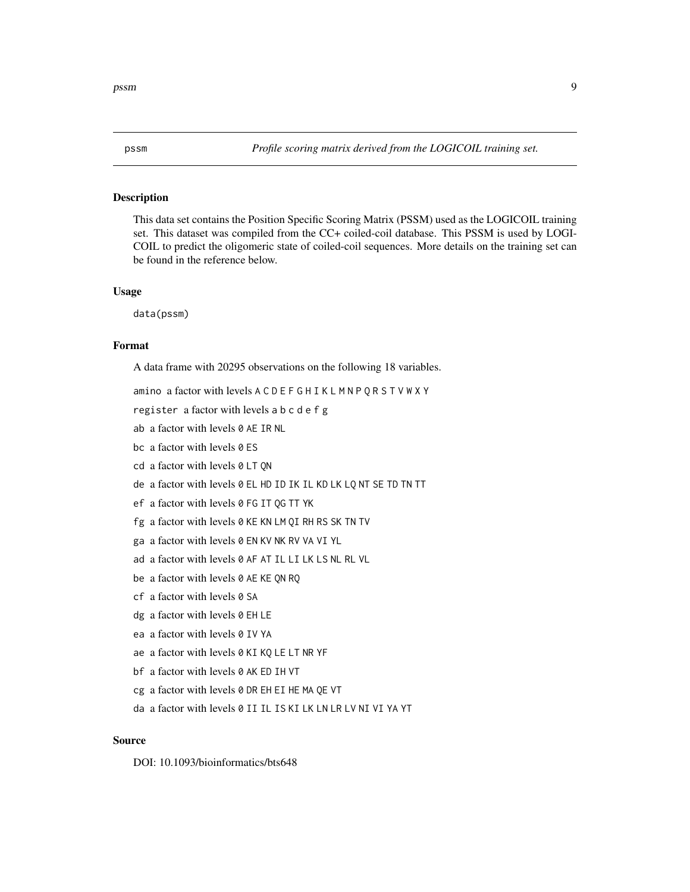<span id="page-8-0"></span>

#### Description

This data set contains the Position Specific Scoring Matrix (PSSM) used as the LOGICOIL training set. This dataset was compiled from the CC+ coiled-coil database. This PSSM is used by LOGI-COIL to predict the oligomeric state of coiled-coil sequences. More details on the training set can be found in the reference below.

#### Usage

data(pssm)

#### Format

A data frame with 20295 observations on the following 18 variables.

amino a factor with levels A C D E F G H I K L M N P Q R S T V W X Y

register a factor with levels a b c d e f g

ab a factor with levels 0 AE IR NL

bc a factor with levels 0 ES

cd a factor with levels 0 LT QN

de a factor with levels 0 EL HD ID IK IL KD LK LQ NT SE TD TN TT

ef a factor with levels 0 FG IT QG TT YK

fg a factor with levels 0 KE KN LM QI RH RS SK TN TV

ga a factor with levels 0 EN KV NK RV VA VI YL

ad a factor with levels 0 AF AT IL LI LK LS NL RL VL

be a factor with levels 0 AE KE QN RQ

cf a factor with levels 0 SA

dg a factor with levels 0 EH LE

ea a factor with levels 0 IV YA

ae a factor with levels 0 KI KQ LE LT NR YF

bf a factor with levels 0 AK ED IH VT

cg a factor with levels 0 DR EH EI HE MA QE VT

da a factor with levels 0 II IL IS KI LK LN LR LV NI VI YA YT

#### Source

DOI: 10.1093/bioinformatics/bts648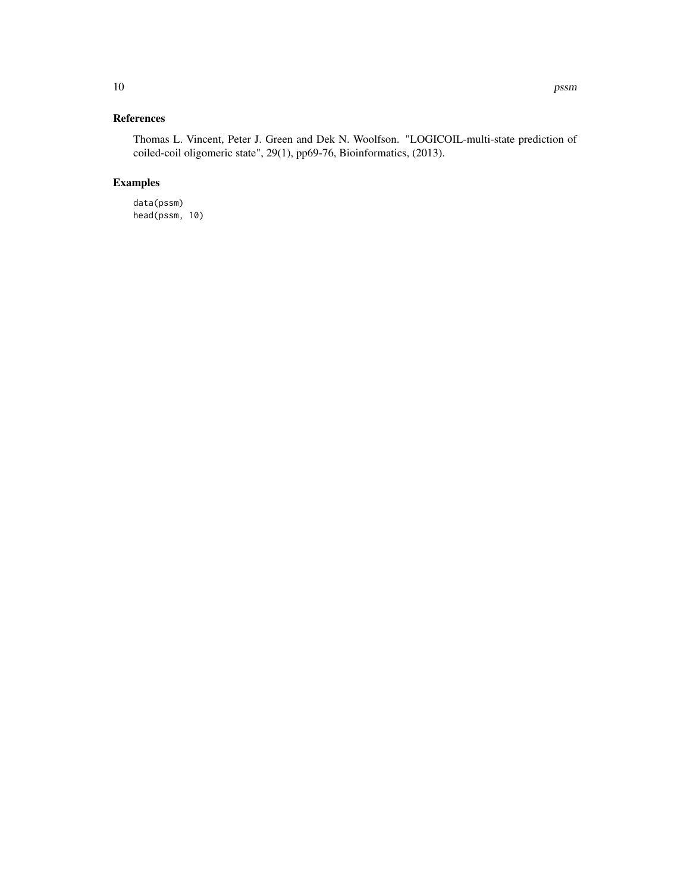#### References

Thomas L. Vincent, Peter J. Green and Dek N. Woolfson. "LOGICOIL-multi-state prediction of coiled-coil oligomeric state", 29(1), pp69-76, Bioinformatics, (2013).

#### Examples

data(pssm) head(pssm, 10)